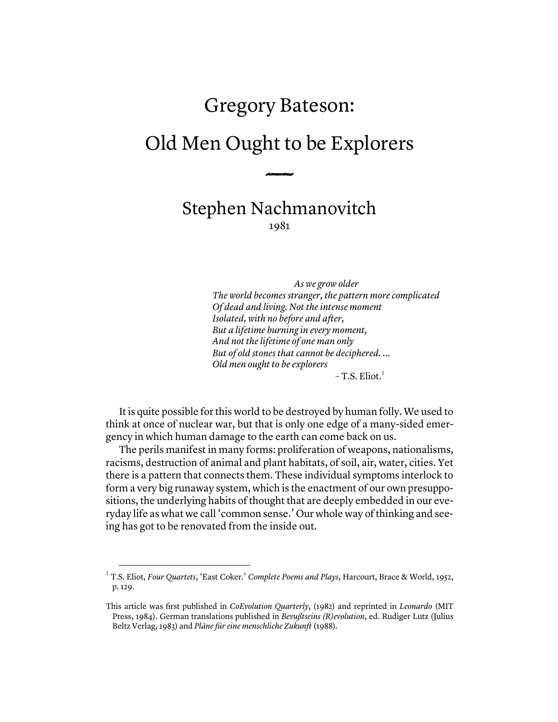# Gregory Bateson:Old Men Ought to be Explorers —

## Stephen Nachmanovitch 1981

*As we grow older The world becomes stranger, the pattern more complicated Of dead and living. Not the intense moment Isolated, with no before and after, But a lifetime burning in every moment, And not the lifetime of one man only But of old stones that cannot be deciphered. … Old men ought to be explorers*  $-$  T.S. Eliot. $<sup>1</sup>$ </sup>

It is quite possible for this world to be destroyed by human folly. We used to think at once of nuclear war, but that is only one edge of a many-sided emergency in which human damage to the earth can come back on us.

The perils manifest in many forms: proliferation of weapons, nationalisms, racisms, destruction of animal and plant habitats, of soil, air, water, cities. Yet there is a pattern that connects them. These individual symptoms interlock to form a very big runaway system, which is the enactment of our own presuppositions, the underlying habits of thought that are deeply embedded in our everyday life as what we call 'common sense.' Our whole way of thinking and seeing has got to be renovated from the inside out.

<sup>1</sup> T.S. Eliot, *Four Quartets*, 'East Coker.' *Complete Poems and Plays*, Harcourt, Brace & World, 1952, p. 129.

This article was first published in *CoEvolution Quarterly*, (1982) and reprinted in *Leonardo* (MIT Press, 1984). German translations published in *Bevußtseins (R)evolution*, ed. Rudiger Lutz (Julius Beltz Verlag, 1983) and *Pläne für eine menschliche Zukunft* (1988).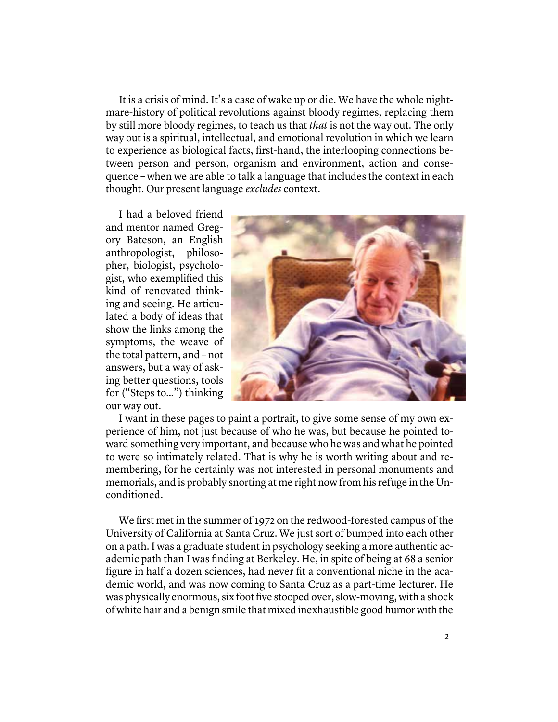It is a crisis of mind. It's a case of wake up or die. We have the whole nightmare-history of political revolutions against bloody regimes, replacing them by still more bloody regimes, to teach us that *that* is not the way out. The only way out is a spiritual, intellectual, and emotional revolution in which we learn to experience as biological facts, first-hand, the interlooping connections between person and person, organism and environment, action and consequence – when we are able to talk a language that includes the context in each thought. Our present language *excludes* context.

I had a beloved friend and mentor named Gregory Bateson, an English anthropologist, philosopher, biologist, psychologist, who exemplified this kind of renovated thinking and seeing. He articulated a body of ideas that show the links among the symptoms, the weave of the total pattern, and – not answers, but a way of asking better questions, tools for ("Steps to…") thinking our way out.



I want in these pages to paint a portrait, to give some sense of my own experience of him, not just because of who he was, but because he pointed toward something very important, and because who he was and what he pointed to were so intimately related. That is why he is worth writing about and remembering, for he certainly was not interested in personal monuments and memorials, and is probably snorting at me right now from his refuge in the Unconditioned.

We first met in the summer of 1972 on the redwood-forested campus of the University of California at Santa Cruz. We just sort of bumped into each other on a path. I was a graduate student in psychology seeking a more authentic academic path than I was finding at Berkeley. He, in spite of being at 68 a senior figure in half a dozen sciences, had never fit a conventional niche in the academic world, and was now coming to Santa Cruz as a part-time lecturer. He was physically enormous, six foot five stooped over, slow-moving, with a shock of white hair and a benign smile that mixed inexhaustible good humor with the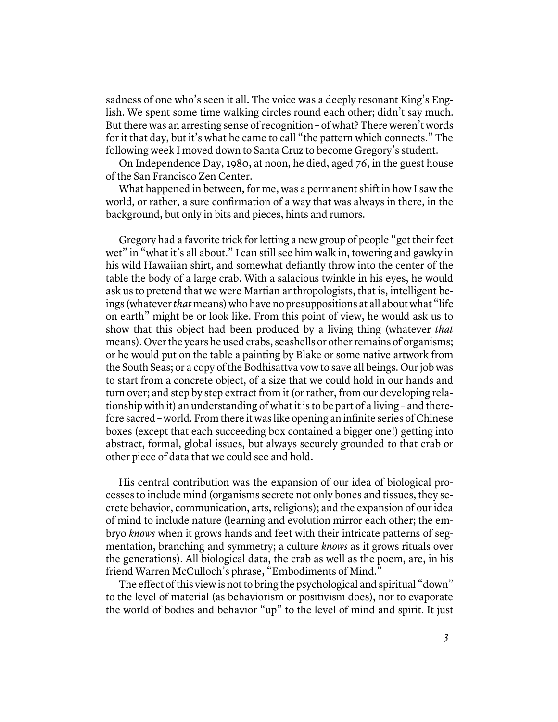sadness of one who's seen it all. The voice was a deeply resonant King's English. We spent some time walking circles round each other; didn't say much. But there was an arresting sense of recognition – of what? There weren't words for it that day, but it's what he came to call "the pattern which connects." The following week I moved down to Santa Cruz to become Gregory's student.

On Independence Day, 1980, at noon, he died, aged 76, in the guest house of the San Francisco Zen Center.

What happened in between, for me, was a permanent shift in how I saw the world, or rather, a sure confirmation of a way that was always in there, in the background, but only in bits and pieces, hints and rumors.

Gregory had a favorite trick for letting a new group of people "get their feet wet" in "what it's all about." I can still see him walk in, towering and gawky in his wild Hawaiian shirt, and somewhat defiantly throw into the center of the table the body of a large crab. With a salacious twinkle in his eyes, he would ask us to pretend that we were Martian anthropologists, that is, intelligent beings (whatever *that* means) who have no presuppositions at all about what "life on earth" might be or look like. From this point of view, he would ask us to show that this object had been produced by a living thing (whatever *that* means). Over the years he used crabs, seashells or other remains of organisms; or he would put on the table a painting by Blake or some native artwork from the South Seas; or a copy of the Bodhisattva vow to save all beings. Our job was to start from a concrete object, of a size that we could hold in our hands and turn over; and step by step extract from it (or rather, from our developing relationship with it) an understanding of what it is to be part of a living – and therefore sacred – world. From there it was like opening an infinite series of Chinese boxes (except that each succeeding box contained a bigger one!) getting into abstract, formal, global issues, but always securely grounded to that crab or other piece of data that we could see and hold.

His central contribution was the expansion of our idea of biological processes to include mind (organisms secrete not only bones and tissues, they secrete behavior, communication, arts, religions); and the expansion of our idea of mind to include nature (learning and evolution mirror each other; the embryo *knows* when it grows hands and feet with their intricate patterns of segmentation, branching and symmetry; a culture *knows* as it grows rituals over the generations). All biological data, the crab as well as the poem, are, in his friend Warren McCulloch's phrase, "Embodiments of Mind."

The effect of this view is not to bring the psychological and spiritual "down" to the level of material (as behaviorism or positivism does), nor to evaporate the world of bodies and behavior "up" to the level of mind and spirit. It just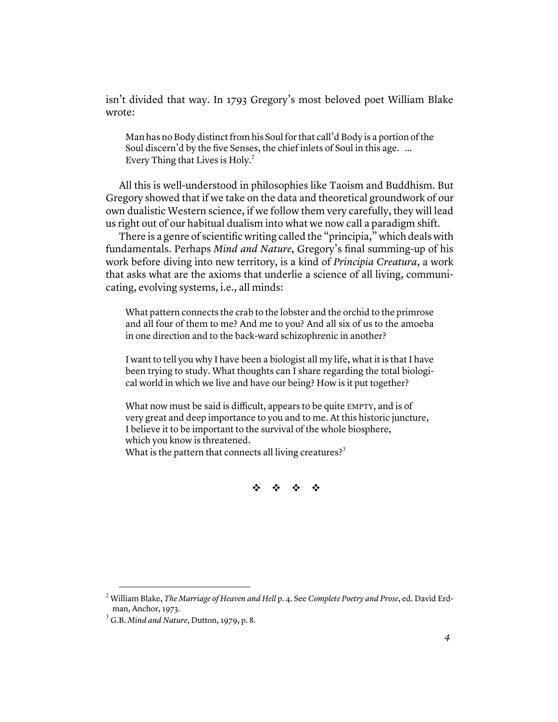isn't divided that way. In 1793 Gregory's most beloved poet William Blake wrote:

Man has no Body distinct from his Soul for that call'd Body is a portion of the Soul discern'd by the five Senses, the chief inlets of Soul in this age. … Every Thing that Lives is Holy.<sup>2</sup>

All this is well-understood in philosophies like Taoism and Buddhism. But Gregory showed that if we take on the data and theoretical groundwork of our own dualistic Western science, if we follow them very carefully, they will lead us right out of our habitual dualism into what we now call a paradigm shift.

There is a genre of scientific writing called the "principia," which deals with fundamentals. Perhaps *Mind and Nature*, Gregory's final summing-up of his work before diving into new territory, is a kind of *Principia Creatura*, a work that asks what are the axioms that underlie a science of all living, communicating, evolving systems, i.e., all minds:

What pattern connects the crab to the lobster and the orchid to the primrose and all four of them to me? And me to you? And all six of us to the amoeba in one direction and to the back-ward schizophrenic in another?

I want to tell you why I have been a biologist all my life, what it is that I have been trying to study. What thoughts can I share regarding the total biological world in which we live and have our being? How is it put together?

What now must be said is difficult, appears to be quite EMPTY, and is of very great and deep importance to you and to me. At this historic juncture, I believe it to be important to the survival of the whole biosphere, which you know is threatened.

What is the pattern that connects all living creatures? $3<sup>3</sup>$ 

v v v v

<sup>2</sup> William Blake, *The Marriage of Heaven and Hell* p. 4. See *Complete Poetry and Prose*, ed. David Erdman, Anchor, 1973.

<sup>3</sup> G.B. *Mind and Nature*, Dutton, 1979, p. 8.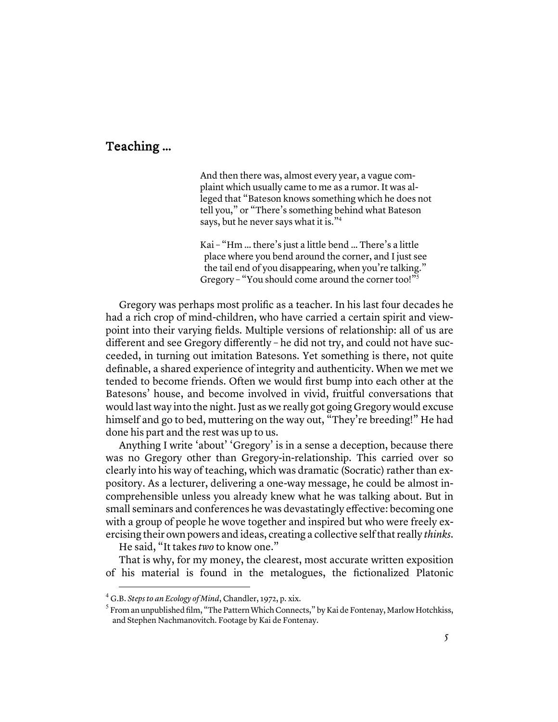#### Teaching …

And then there was, almost every year, a vague complaint which usually came to me as a rumor. It was alleged that "Bateson knows something which he does not tell you," or "There's something behind what Bateson says, but he never says what it is."<sup>4</sup>

Kai – "Hm … there's just a little bend … There's a little place where you bend around the corner, and I just see the tail end of you disappearing, when you're talking." Gregory – "You should come around the corner too!"<sup>5</sup>

Gregory was perhaps most prolific as a teacher. In his last four decades he had a rich crop of mind-children, who have carried a certain spirit and viewpoint into their varying fields. Multiple versions of relationship: all of us are different and see Gregory differently – he did not try, and could not have succeeded, in turning out imitation Batesons. Yet something is there, not quite definable, a shared experience of integrity and authenticity. When we met we tended to become friends. Often we would first bump into each other at the Batesons' house, and become involved in vivid, fruitful conversations that would last way into the night. Just as we really got going Gregory would excuse himself and go to bed, muttering on the way out, "They're breeding!" He had done his part and the rest was up to us.

Anything I write 'about' 'Gregory' is in a sense a deception, because there was no Gregory other than Gregory-in-relationship. This carried over so clearly into his way of teaching, which was dramatic (Socratic) rather than expository. As a lecturer, delivering a one-way message, he could be almost incomprehensible unless you already knew what he was talking about. But in small seminars and conferences he was devastatingly effective: becoming one with a group of people he wove together and inspired but who were freely exercising their own powers and ideas, creating a collective self that really *thinks*.

He said, "It takes *two* to know one."

That is why, for my money, the clearest, most accurate written exposition of his material is found in the metalogues, the fictionalized Platonic

<sup>4</sup> G.B. *Steps to an Ecology of Mind*, Chandler, 1972, p. xix.

 $<sup>5</sup>$  From an unpublished film, "The Pattern Which Connects," by Kai de Fontenay, Marlow Hotchkiss,</sup> and Stephen Nachmanovitch. Footage by Kai de Fontenay.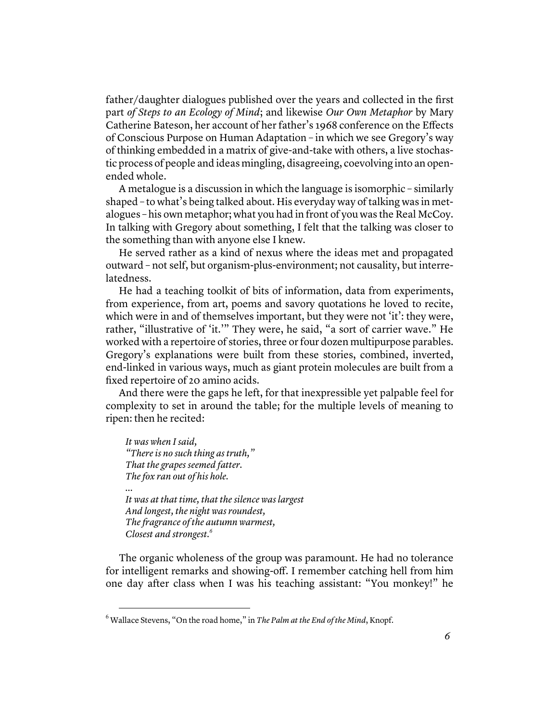father/daughter dialogues published over the years and collected in the first part *of Steps to an Ecology of Mind*; and likewise *Our Own Metaphor* by Mary Catherine Bateson, her account of her father's 1968 conference on the Effects of Conscious Purpose on Human Adaptation – in which we see Gregory's way of thinking embedded in a matrix of give-and-take with others, a live stochastic process of people and ideas mingling, disagreeing, coevolving into an openended whole.

A metalogue is a discussion in which the language is isomorphic – similarly shaped – to what's being talked about. His everyday way of talking was in metalogues – his own metaphor; what you had in front of you was the Real McCoy. In talking with Gregory about something, I felt that the talking was closer to the something than with anyone else I knew.

He served rather as a kind of nexus where the ideas met and propagated outward – not self, but organism-plus-environment; not causality, but interrelatedness.

He had a teaching toolkit of bits of information, data from experiments, from experience, from art, poems and savory quotations he loved to recite, which were in and of themselves important, but they were not 'it': they were, rather, "illustrative of 'it.'" They were, he said, "a sort of carrier wave." He worked with a repertoire of stories, three or four dozen multipurpose parables. Gregory's explanations were built from these stories, combined, inverted, end-linked in various ways, much as giant protein molecules are built from a fixed repertoire of 20 amino acids.

And there were the gaps he left, for that inexpressible yet palpable feel for complexity to set in around the table; for the multiple levels of meaning to ripen: then he recited:

```
It was when I said,
"There is no such thing as truth,"
That the grapes seemed fatter.
The fox ran out of his hole.
… 
It was at that time, that the silence was largest
And longest, the night was roundest,
The fragrance of the autumn warmest,
Closest and strongest.6
```
The organic wholeness of the group was paramount. He had no tolerance for intelligent remarks and showing-off. I remember catching hell from him one day after class when I was his teaching assistant: "You monkey!" he

<sup>6</sup>Wallace Stevens, "On the road home," in *The Palm at the End of the Mind*, Knopf.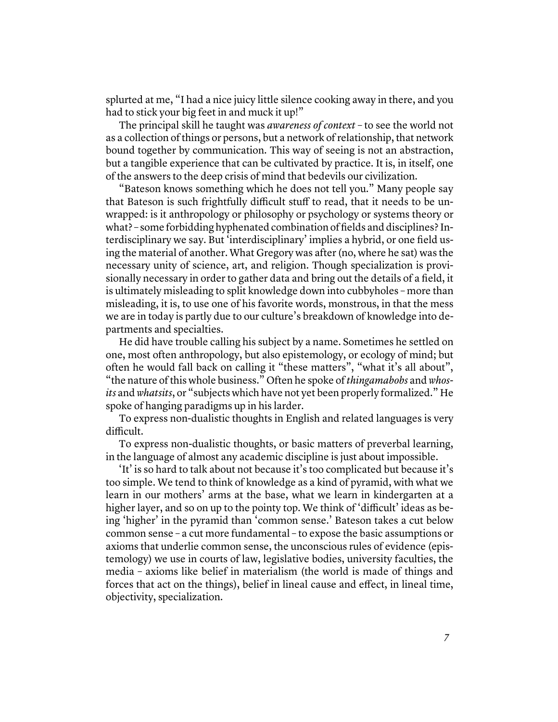splurted at me, "I had a nice juicy little silence cooking away in there, and you had to stick your big feet in and muck it up!"

The principal skill he taught was *awareness of context* – to see the world not as a collection of things or persons, but a network of relationship, that network bound together by communication. This way of seeing is not an abstraction, but a tangible experience that can be cultivated by practice. It is, in itself, one of the answers to the deep crisis of mind that bedevils our civilization.

"Bateson knows something which he does not tell you." Many people say that Bateson is such frightfully difficult stuff to read, that it needs to be unwrapped: is it anthropology or philosophy or psychology or systems theory or what? – some forbidding hyphenated combination of fields and disciplines? Interdisciplinary we say. But 'interdisciplinary' implies a hybrid, or one field using the material of another. What Gregory was after (no, where he sat) was the necessary unity of science, art, and religion. Though specialization is provisionally necessary in order to gather data and bring out the details of a field, it is ultimately misleading to split knowledge down into cubbyholes – more than misleading, it is, to use one of his favorite words, monstrous, in that the mess we are in today is partly due to our culture's breakdown of knowledge into departments and specialties.

He did have trouble calling his subject by a name. Sometimes he settled on one, most often anthropology, but also epistemology, or ecology of mind; but often he would fall back on calling it "these matters", "what it's all about", "the nature of this whole business." Often he spoke of *thingamabobs* and *whosits* and *whatsits*, or "subjects which have not yet been properly formalized." He spoke of hanging paradigms up in his larder.

To express non-dualistic thoughts in English and related languages is very difficult.

To express non-dualistic thoughts, or basic matters of preverbal learning, in the language of almost any academic discipline is just about impossible.

'It' is so hard to talk about not because it's too complicated but because it's too simple. We tend to think of knowledge as a kind of pyramid, with what we learn in our mothers' arms at the base, what we learn in kindergarten at a higher layer, and so on up to the pointy top. We think of 'difficult' ideas as being 'higher' in the pyramid than 'common sense.' Bateson takes a cut below common sense – a cut more fundamental – to expose the basic assumptions or axioms that underlie common sense, the unconscious rules of evidence (epistemology) we use in courts of law, legislative bodies, university faculties, the media – axioms like belief in materialism (the world is made of things and forces that act on the things), belief in lineal cause and effect, in lineal time, objectivity, specialization.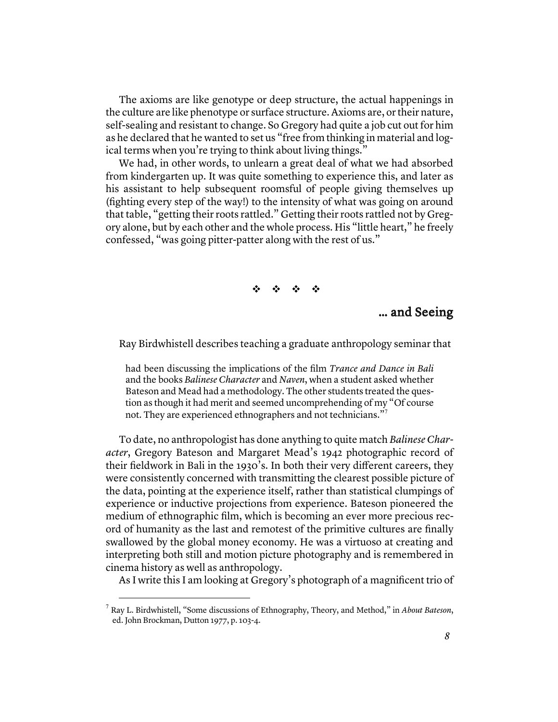The axioms are like genotype or deep structure, the actual happenings in the culture are like phenotype or surface structure. Axioms are, or their nature, self-sealing and resistant to change. So Gregory had quite a job cut out for him as he declared that he wanted to set us "free from thinking in material and logical terms when you're trying to think about living things."

We had, in other words, to unlearn a great deal of what we had absorbed from kindergarten up. It was quite something to experience this, and later as his assistant to help subsequent roomsful of people giving themselves up (fighting every step of the way!) to the intensity of what was going on around that table, "getting their roots rattled." Getting their roots rattled not by Gregory alone, but by each other and the whole process. His "little heart," he freely confessed, "was going pitter-patter along with the rest of us."

v v v v

#### … and Seeing

Ray Birdwhistell describes teaching a graduate anthropology seminar that

had been discussing the implications of the film *Trance and Dance in Bali* and the books *Balinese Character* and *Naven*, when a student asked whether Bateson and Mead had a methodology. The other students treated the question as though it had merit and seemed uncomprehending of my "Of course not. They are experienced ethnographers and not technicians."<sup>7</sup>

To date, no anthropologist has done anything to quite match *Balinese Character*, Gregory Bateson and Margaret Mead's 1942 photographic record of their fieldwork in Bali in the 1930's. In both their very different careers, they were consistently concerned with transmitting the clearest possible picture of the data, pointing at the experience itself, rather than statistical clumpings of experience or inductive projections from experience. Bateson pioneered the medium of ethnographic film, which is becoming an ever more precious record of humanity as the last and remotest of the primitive cultures are finally swallowed by the global money economy. He was a virtuoso at creating and interpreting both still and motion picture photography and is remembered in cinema history as well as anthropology.

As I write this I am looking at Gregory's photograph of a magnificent trio of

<sup>7</sup> Ray L. Birdwhistell, "Some discussions of Ethnography, Theory, and Method," in *About Bateson*, ed. John Brockman, Dutton 1977, p. 103-4.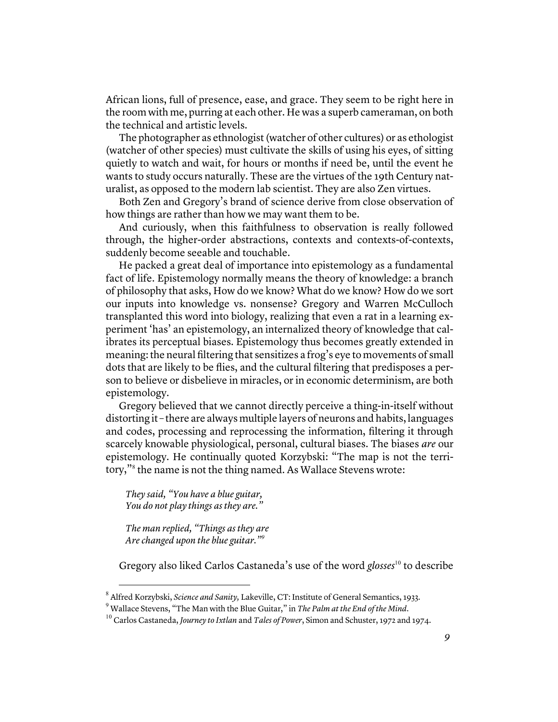African lions, full of presence, ease, and grace. They seem to be right here in the room with me, purring at each other. He was a superb cameraman, on both the technical and artistic levels.

The photographer as ethnologist (watcher of other cultures) or as ethologist (watcher of other species) must cultivate the skills of using his eyes, of sitting quietly to watch and wait, for hours or months if need be, until the event he wants to study occurs naturally. These are the virtues of the 19th Century naturalist, as opposed to the modern lab scientist. They are also Zen virtues.

Both Zen and Gregory's brand of science derive from close observation of how things are rather than how we may want them to be.

And curiously, when this faithfulness to observation is really followed through, the higher-order abstractions, contexts and contexts-of-contexts, suddenly become seeable and touchable.

He packed a great deal of importance into epistemology as a fundamental fact of life. Epistemology normally means the theory of knowledge: a branch of philosophy that asks, How do we know? What do we know? How do we sort our inputs into knowledge vs. nonsense? Gregory and Warren McCulloch transplanted this word into biology, realizing that even a rat in a learning experiment 'has' an epistemology, an internalized theory of knowledge that calibrates its perceptual biases. Epistemology thus becomes greatly extended in meaning: the neural filtering that sensitizes a frog's eye to movements of small dots that are likely to be flies, and the cultural filtering that predisposes a person to believe or disbelieve in miracles, or in economic determinism, are both epistemology.

Gregory believed that we cannot directly perceive a thing-in-itself without distorting it – there are always multiple layers of neurons and habits, languages and codes, processing and reprocessing the information, filtering it through scarcely knowable physiological, personal, cultural biases. The biases *are* our epistemology. He continually quoted Korzybski: "The map is not the territory,"<sup>8</sup> the name is not the thing named. As Wallace Stevens wrote:

*They said, "You have a blue guitar, You do not play things as they are."*

*The man replied, "Things as they are Are changed upon the blue guitar."<sup>9</sup>*

Gregory also liked Carlos Castaneda's use of the word *glosses*<sup>10</sup> to describe

<sup>8</sup> Alfred Korzybski, *Science and Sanity,* Lakeville, CT: Institute of General Semantics, 1933.

<sup>9</sup> Wallace Stevens, "The Man with the Blue Guitar," in *The Palm at the End of the Mind*.

<sup>10</sup> Carlos Castaneda, *Journey to Ixtlan* and *Tales of Power*, Simon and Schuster, 1972 and 1974.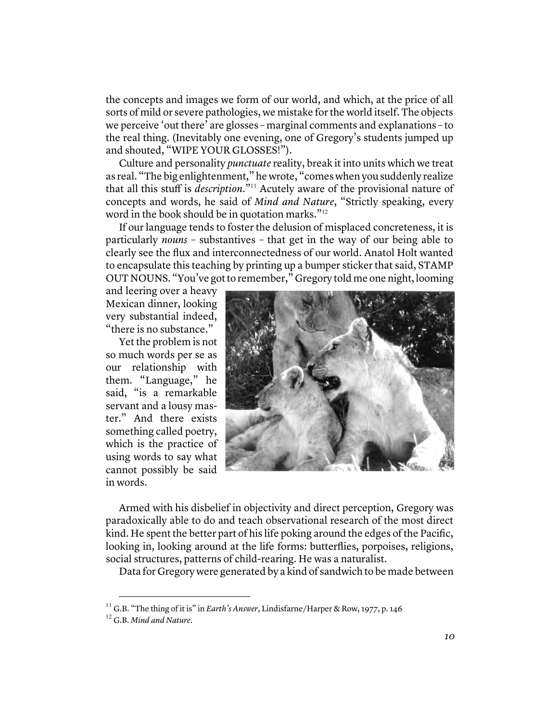the concepts and images we form of our world, and which, at the price of all sorts of mild or severe pathologies, we mistake for the world itself. The objects we perceive 'out there' are glosses – marginal comments and explanations – to the real thing. (Inevitably one evening, one of Gregory's students jumped up and shouted, "WIPE YOUR GLOSSES!").

Culture and personality *punctuate* reality, break it into units which we treat as real. "The big enlightenment," he wrote, "comes when you suddenly realize that all this stuff is *description*."<sup>11</sup> Acutely aware of the provisional nature of concepts and words, he said of *Mind and Nature*, "Strictly speaking, every word in the book should be in quotation marks."<sup>12</sup>

If our language tends to foster the delusion of misplaced concreteness, it is particularly *nouns* – substantives – that get in the way of our being able to clearly see the flux and interconnectedness of our world. Anatol Holt wanted to encapsulate this teaching by printing up a bumper sticker that said, STAMP OUT NOUNS. "You've got to remember," Gregory told me one night, looming

and leering over a heavy Mexican dinner, looking very substantial indeed, "there is no substance."

Yet the problem is not so much words per se as our relationship with them. "Language," he said, "is a remarkable servant and a lousy master." And there exists something called poetry, which is the practice of using words to say what cannot possibly be said in words.



Armed with his disbelief in objectivity and direct perception, Gregory was paradoxically able to do and teach observational research of the most direct kind. He spent the better part of his life poking around the edges of the Pacific, looking in, looking around at the life forms: butterflies, porpoises, religions, social structures, patterns of child-rearing. He was a naturalist.

Data for Gregory were generated by a kind of sandwich to be made between

<sup>11</sup> G.B. "The thing of it is" in *Earth's Answer*, Lindisfarne/Harper & Row, 1977, p. 146 <sup>12</sup> G.B. *Mind and Nature*.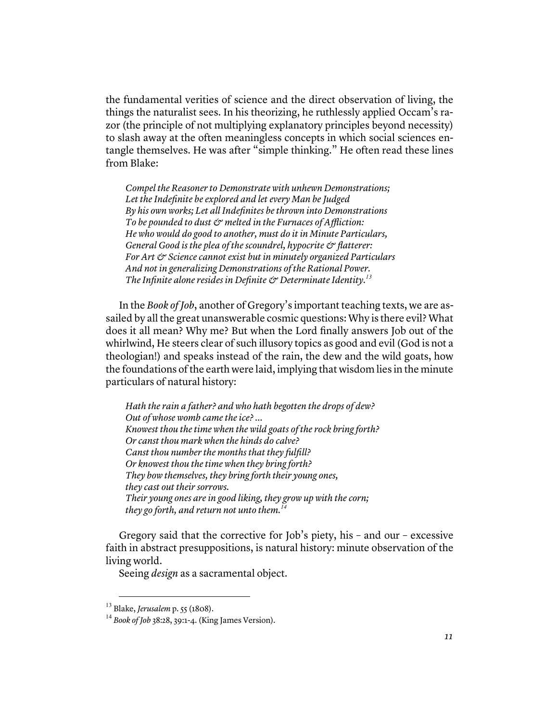the fundamental verities of science and the direct observation of living, the things the naturalist sees. In his theorizing, he ruthlessly applied Occam's razor (the principle of not multiplying explanatory principles beyond necessity) to slash away at the often meaningless concepts in which social sciences entangle themselves. He was after "simple thinking." He often read these lines from Blake:

*Compel the Reasoner to Demonstrate with unhewn Demonstrations; Let the Indefinite be explored and let every Man be Judged By his own works; Let all Indefinites be thrown into Demonstrations To be pounded to dust & melted in the Furnaces of Affliction: He who would do good to another, must do it in Minute Particulars, General Good is the plea of the scoundrel, hypocrite*  $\mathcal O$  *flatterer: For Art & Science cannot exist but in minutely organized Particulars And not in generalizing Demonstrations of the Rational Power. The Infinite alone resides in Definite & Determinate Identity.<sup>13</sup>* 

In the *Book of Job*, another of Gregory's important teaching texts, we are assailed by all the great unanswerable cosmic questions: Why is there evil? What does it all mean? Why me? But when the Lord finally answers Job out of the whirlwind, He steers clear of such illusory topics as good and evil (God is not a theologian!) and speaks instead of the rain, the dew and the wild goats, how the foundations of the earth were laid, implying that wisdom lies in the minute particulars of natural history:

*Hath the rain a father? and who hath begotten the drops of dew? Out of whose womb came the ice? … Knowest thou the time when the wild goats of the rock bring forth? Or canst thou mark when the hinds do calve? Canst thou number the months that they fulfill? Or knowest thou the time when they bring forth? They bow themselves, they bring forth their young ones, they cast out their sorrows. Their young ones are in good liking, they grow up with the corn; they go forth, and return not unto them.*<sup> $14$ </sup>

Gregory said that the corrective for Job's piety, his – and our – excessive faith in abstract presuppositions, is natural history: minute observation of the living world.

Seeing *design* as a sacramental object.

<sup>13</sup> Blake, *Jerusalem* p. 55 (1808).

<sup>&</sup>lt;sup>14</sup> *Book of Job* 38:28, 39:1-4. (King James Version).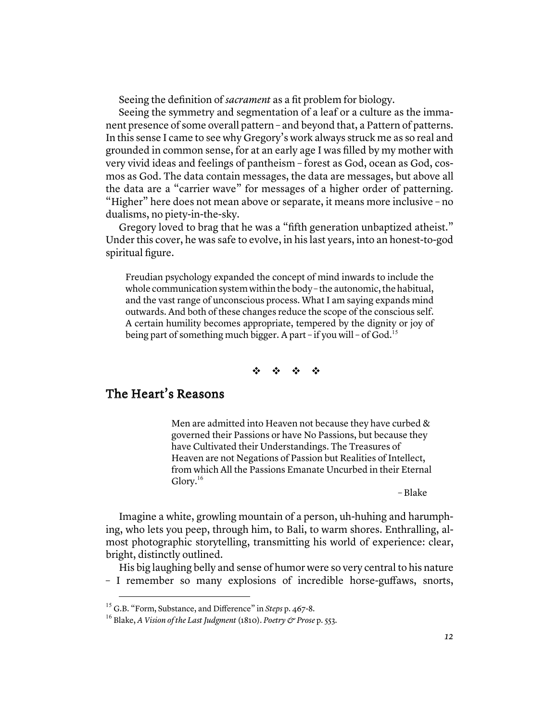Seeing the definition of *sacrament* as a fit problem for biology.

Seeing the symmetry and segmentation of a leaf or a culture as the immanent presence of some overall pattern – and beyond that, a Pattern of patterns. In this sense I came to see why Gregory's work always struck me as so real and grounded in common sense, for at an early age I was filled by my mother with very vivid ideas and feelings of pantheism – forest as God, ocean as God, cosmos as God. The data contain messages, the data are messages, but above all the data are a "carrier wave" for messages of a higher order of patterning. "Higher" here does not mean above or separate, it means more inclusive – no dualisms, no piety-in-the-sky.

Gregory loved to brag that he was a "fifth generation unbaptized atheist." Under this cover, he was safe to evolve, in his last years, into an honest-to-god spiritual figure.

Freudian psychology expanded the concept of mind inwards to include the whole communication system within the body – the autonomic, the habitual, and the vast range of unconscious process. What I am saying expands mind outwards. And both of these changes reduce the scope of the conscious self. A certain humility becomes appropriate, tempered by the dignity or joy of being part of something much bigger. A part – if you will – of God.<sup>15</sup>

v v v v

#### The Heart's Reasons

Men are admitted into Heaven not because they have curbed & governed their Passions or have No Passions, but because they have Cultivated their Understandings. The Treasures of Heaven are not Negations of Passion but Realities of Intellect, from which All the Passions Emanate Uncurbed in their Eternal  $Glorv.<sup>16</sup>$ 

– Blake

Imagine a white, growling mountain of a person, uh-huhing and harumphing, who lets you peep, through him, to Bali, to warm shores. Enthralling, almost photographic storytelling, transmitting his world of experience: clear, bright, distinctly outlined.

His big laughing belly and sense of humor were so very central to his nature – I remember so many explosions of incredible horse-guffaws, snorts,

<sup>15</sup> G.B. "Form, Substance, and Difference" in *Steps* p. 467-8.

<sup>16</sup> Blake, *A Vision of the Last Judgment* (1810). *Poetry & Prose* p. 553.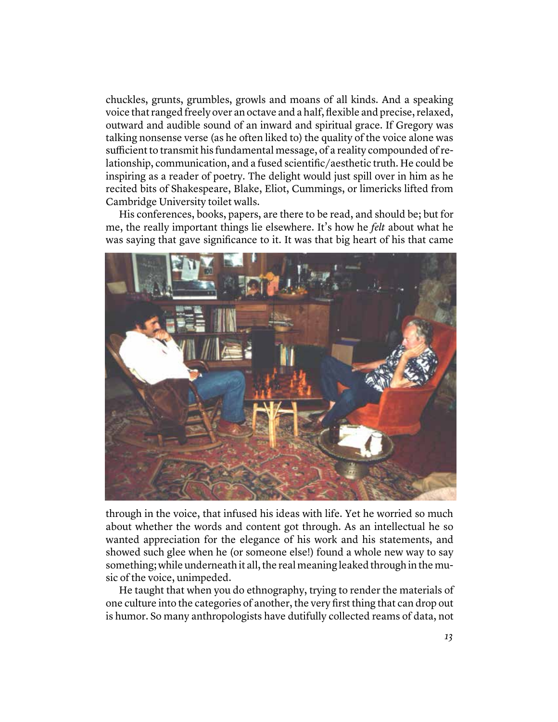chuckles, grunts, grumbles, growls and moans of all kinds. And a speaking voice that ranged freely over an octave and a half, flexible and precise, relaxed, outward and audible sound of an inward and spiritual grace. If Gregory was talking nonsense verse (as he often liked to) the quality of the voice alone was sufficient to transmit his fundamental message, of a reality compounded of relationship, communication, and a fused scientific/aesthetic truth. He could be inspiring as a reader of poetry. The delight would just spill over in him as he recited bits of Shakespeare, Blake, Eliot, Cummings, or limericks lifted from Cambridge University toilet walls.

His conferences, books, papers, are there to be read, and should be; but for me, the really important things lie elsewhere. It's how he *felt* about what he was saying that gave significance to it. It was that big heart of his that came



through in the voice, that infused his ideas with life. Yet he worried so much about whether the words and content got through. As an intellectual he so wanted appreciation for the elegance of his work and his statements, and showed such glee when he (or someone else!) found a whole new way to say something; while underneath it all, the real meaning leaked through in the music of the voice, unimpeded.

He taught that when you do ethnography, trying to render the materials of one culture into the categories of another, the very first thing that can drop out is humor. So many anthropologists have dutifully collected reams of data, not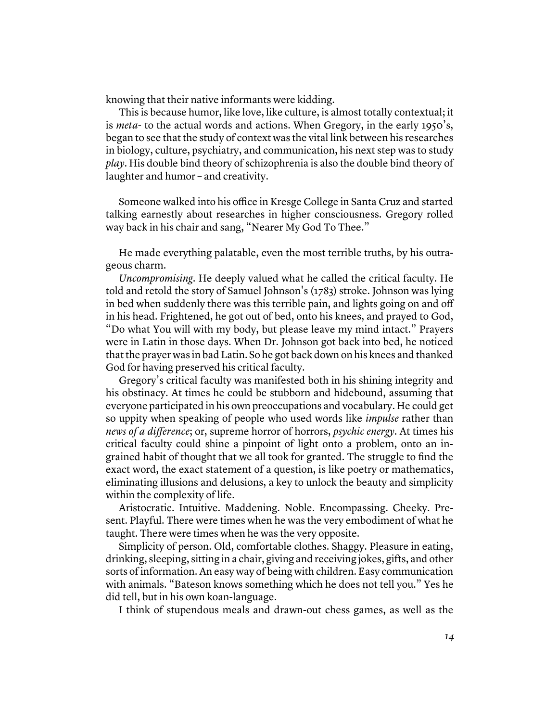knowing that their native informants were kidding.

This is because humor, like love, like culture, is almost totally contextual; it is *meta-* to the actual words and actions. When Gregory, in the early 1950's, began to see that the study of context was the vital link between his researches in biology, culture, psychiatry, and communication, his next step was to study *play*. His double bind theory of schizophrenia is also the double bind theory of laughter and humor – and creativity.

Someone walked into his office in Kresge College in Santa Cruz and started talking earnestly about researches in higher consciousness. Gregory rolled way back in his chair and sang, "Nearer My God To Thee."

He made everything palatable, even the most terrible truths, by his outrageous charm.

*Uncompromising*. He deeply valued what he called the critical faculty. He told and retold the story of Samuel Johnson's (1783) stroke. Johnson was lying in bed when suddenly there was this terrible pain, and lights going on and off in his head. Frightened, he got out of bed, onto his knees, and prayed to God, "Do what You will with my body, but please leave my mind intact." Prayers were in Latin in those days. When Dr. Johnson got back into bed, he noticed that the prayer was in bad Latin. So he got back down on his knees and thanked God for having preserved his critical faculty.

Gregory's critical faculty was manifested both in his shining integrity and his obstinacy. At times he could be stubborn and hidebound, assuming that everyone participated in his own preoccupations and vocabulary. He could get so uppity when speaking of people who used words like *impulse* rather than *news of a difference*; or, supreme horror of horrors, *psychic energy*. At times his critical faculty could shine a pinpoint of light onto a problem, onto an ingrained habit of thought that we all took for granted. The struggle to find the exact word, the exact statement of a question, is like poetry or mathematics, eliminating illusions and delusions, a key to unlock the beauty and simplicity within the complexity of life.

Aristocratic. Intuitive. Maddening. Noble. Encompassing. Cheeky. Present. Playful. There were times when he was the very embodiment of what he taught. There were times when he was the very opposite.

Simplicity of person. Old, comfortable clothes. Shaggy. Pleasure in eating, drinking, sleeping, sitting in a chair, giving and receiving jokes, gifts, and other sorts of information. An easy way of being with children. Easy communication with animals. "Bateson knows something which he does not tell you." Yes he did tell, but in his own koan-language.

I think of stupendous meals and drawn-out chess games, as well as the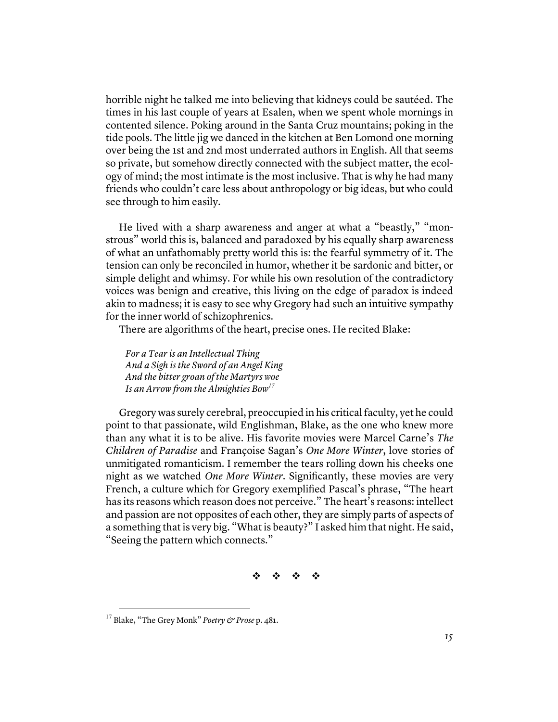horrible night he talked me into believing that kidneys could be sautéed. The times in his last couple of years at Esalen, when we spent whole mornings in contented silence. Poking around in the Santa Cruz mountains; poking in the tide pools. The little jig we danced in the kitchen at Ben Lomond one morning over being the 1st and 2nd most underrated authors in English. All that seems so private, but somehow directly connected with the subject matter, the ecology of mind; the most intimate is the most inclusive. That is why he had many friends who couldn't care less about anthropology or big ideas, but who could see through to him easily.

He lived with a sharp awareness and anger at what a "beastly," "monstrous" world this is, balanced and paradoxed by his equally sharp awareness of what an unfathomably pretty world this is: the fearful symmetry of it. The tension can only be reconciled in humor, whether it be sardonic and bitter, or simple delight and whimsy. For while his own resolution of the contradictory voices was benign and creative, this living on the edge of paradox is indeed akin to madness; it is easy to see why Gregory had such an intuitive sympathy for the inner world of schizophrenics.

There are algorithms of the heart, precise ones. He recited Blake:

*For a Tear is an Intellectual Thing And a Sigh is the Sword of an Angel King And the bitter groan of the Martyrs woe Is an Arrow from the Almighties Bow<sup>17</sup>* 

Gregory was surely cerebral, preoccupied in his critical faculty, yet he could point to that passionate, wild Englishman, Blake, as the one who knew more than any what it is to be alive. His favorite movies were Marcel Carne's *The Children of Paradise* and Françoise Sagan's *One More Winter*, love stories of unmitigated romanticism. I remember the tears rolling down his cheeks one night as we watched *One More Winter*. Significantly, these movies are very French, a culture which for Gregory exemplified Pascal's phrase, "The heart has its reasons which reason does not perceive." The heart's reasons: intellect and passion are not opposites of each other, they are simply parts of aspects of a something that is very big. "What is beauty?" I asked him that night. He said, "Seeing the pattern which connects."

v v v v

<sup>&</sup>lt;sup>17</sup> Blake, "The Grey Monk" *Poetry & Prose* p. 481.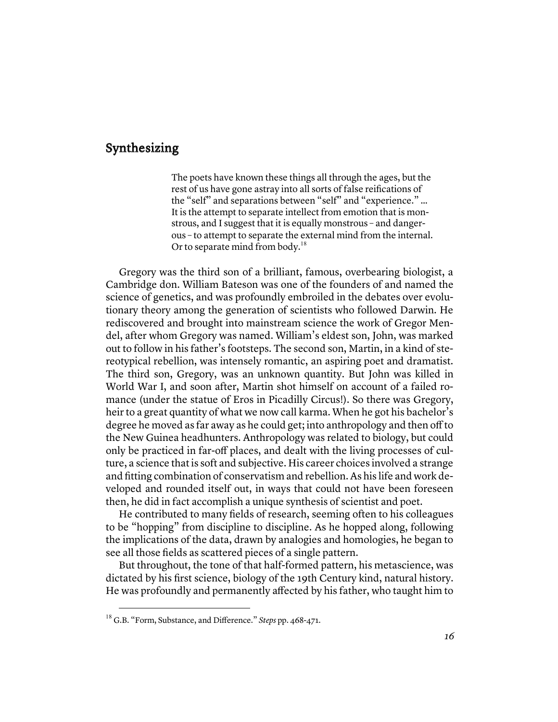#### Synthesizing

The poets have known these things all through the ages, but the rest of us have gone astray into all sorts of false reifications of the "self" and separations between "self" and "experience." … It is the attempt to separate intellect from emotion that is monstrous, and I suggest that it is equally monstrous – and dangerous – to attempt to separate the external mind from the internal. Or to separate mind from body.<sup>18</sup>

Gregory was the third son of a brilliant, famous, overbearing biologist, a Cambridge don. William Bateson was one of the founders of and named the science of genetics, and was profoundly embroiled in the debates over evolutionary theory among the generation of scientists who followed Darwin. He rediscovered and brought into mainstream science the work of Gregor Mendel, after whom Gregory was named. William's eldest son, John, was marked out to follow in his father's footsteps. The second son, Martin, in a kind of stereotypical rebellion, was intensely romantic, an aspiring poet and dramatist. The third son, Gregory, was an unknown quantity. But John was killed in World War I, and soon after, Martin shot himself on account of a failed romance (under the statue of Eros in Picadilly Circus!). So there was Gregory, heir to a great quantity of what we now call karma. When he got his bachelor's degree he moved as far away as he could get; into anthropology and then off to the New Guinea headhunters. Anthropology was related to biology, but could only be practiced in far-off places, and dealt with the living processes of culture, a science that is soft and subjective. His career choices involved a strange and fitting combination of conservatism and rebellion. As his life and work developed and rounded itself out, in ways that could not have been foreseen then, he did in fact accomplish a unique synthesis of scientist and poet.

He contributed to many fields of research, seeming often to his colleagues to be "hopping" from discipline to discipline. As he hopped along, following the implications of the data, drawn by analogies and homologies, he began to see all those fields as scattered pieces of a single pattern.

But throughout, the tone of that half-formed pattern, his metascience, was dictated by his first science, biology of the 19th Century kind, natural history. He was profoundly and permanently affected by his father, who taught him to

<sup>18</sup> G.B. "Form, Substance, and Difference." *Steps* pp. 468-471.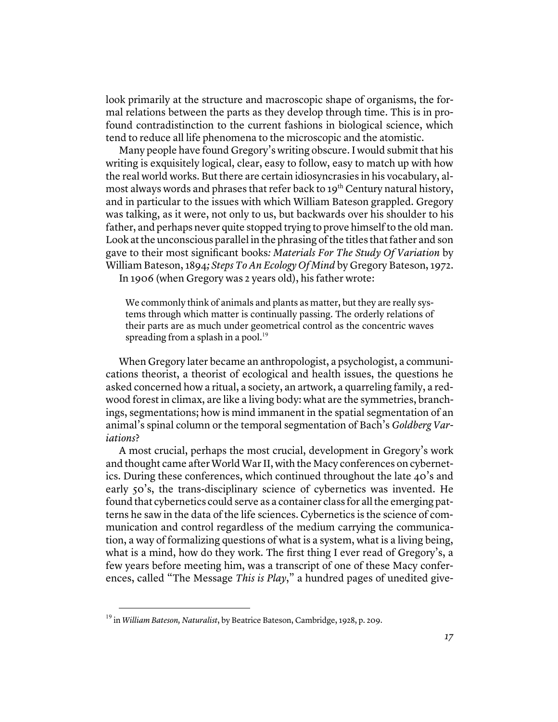look primarily at the structure and macroscopic shape of organisms, the formal relations between the parts as they develop through time. This is in profound contradistinction to the current fashions in biological science, which tend to reduce all life phenomena to the microscopic and the atomistic.

Many people have found Gregory's writing obscure. I would submit that his writing is exquisitely logical, clear, easy to follow, easy to match up with how the real world works. But there are certain idiosyncrasies in his vocabulary, almost always words and phrases that refer back to 19<sup>th</sup> Century natural history, and in particular to the issues with which William Bateson grappled. Gregory was talking, as it were, not only to us, but backwards over his shoulder to his father, and perhaps never quite stopped trying to prove himself to the old man. Look at the unconscious parallel in the phrasing of the titles that father and son gave to their most significant books*: Materials For The Study Of Variation* by William Bateson, 1894*; Steps To An Ecology Of Mind* by Gregory Bateson, 1972.

In 1906 (when Gregory was 2 years old), his father wrote:

We commonly think of animals and plants as matter, but they are really systems through which matter is continually passing. The orderly relations of their parts are as much under geometrical control as the concentric waves spreading from a splash in a pool.<sup>19</sup>

When Gregory later became an anthropologist, a psychologist, a communications theorist, a theorist of ecological and health issues, the questions he asked concerned how a ritual, a society, an artwork, a quarreling family, a redwood forest in climax, are like a living body: what are the symmetries, branchings, segmentations; how is mind immanent in the spatial segmentation of an animal's spinal column or the temporal segmentation of Bach's *Goldberg Variations*?

A most crucial, perhaps the most crucial, development in Gregory's work and thought came after World War II, with the Macy conferences on cybernetics. During these conferences, which continued throughout the late 40's and early 50's, the trans-disciplinary science of cybernetics was invented. He found that cybernetics could serve as a container class for all the emerging patterns he saw in the data of the life sciences. Cybernetics is the science of communication and control regardless of the medium carrying the communication, a way of formalizing questions of what is a system, what is a living being, what is a mind, how do they work. The first thing I ever read of Gregory's, a few years before meeting him, was a transcript of one of these Macy conferences, called "The Message *This is Play*," a hundred pages of unedited give-

<sup>19</sup> in *William Bateson, Naturalist*, by Beatrice Bateson, Cambridge, 1928, p. 209.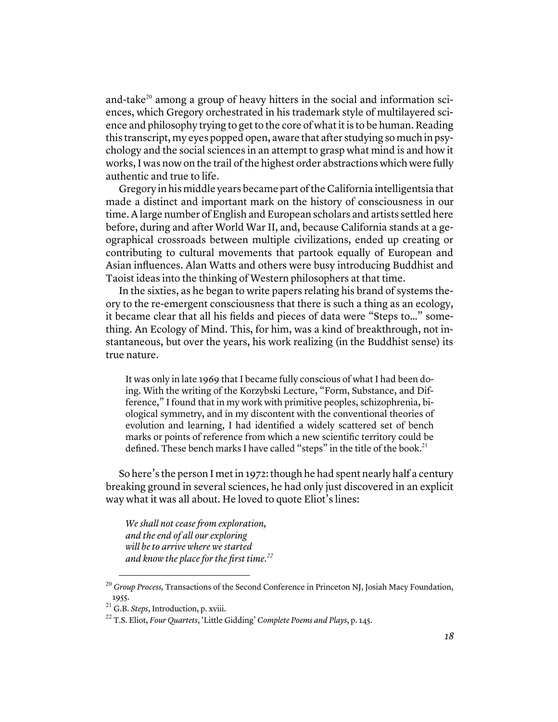and-take<sup>20</sup> among a group of heavy hitters in the social and information sciences, which Gregory orchestrated in his trademark style of multilayered science and philosophy trying to get to the core of what it is to be human. Reading this transcript, my eyes popped open, aware that after studying so much in psychology and the social sciences in an attempt to grasp what mind is and how it works, I was now on the trail of the highest order abstractions which were fully authentic and true to life.

Gregory in his middle years became part of the California intelligentsia that made a distinct and important mark on the history of consciousness in our time. A large number of English and European scholars and artists settled here before, during and after World War II, and, because California stands at a geographical crossroads between multiple civilizations, ended up creating or contributing to cultural movements that partook equally of European and Asian influences. Alan Watts and others were busy introducing Buddhist and Taoist ideas into the thinking of Western philosophers at that time.

In the sixties, as he began to write papers relating his brand of systems theory to the re-emergent consciousness that there is such a thing as an ecology, it became clear that all his fields and pieces of data were "Steps to…" something. An Ecology of Mind. This, for him, was a kind of breakthrough, not instantaneous, but over the years, his work realizing (in the Buddhist sense) its true nature.

It was only in late 1969 that I became fully conscious of what I had been doing. With the writing of the Korzybski Lecture, "Form, Substance, and Difference," I found that in my work with primitive peoples, schizophrenia, biological symmetry, and in my discontent with the conventional theories of evolution and learning, I had identified a widely scattered set of bench marks or points of reference from which a new scientific territory could be defined. These bench marks I have called "steps" in the title of the book.<sup>21</sup>

So here's the person I met in 1972: though he had spent nearly half a century breaking ground in several sciences, he had only just discovered in an explicit way what it was all about. He loved to quote Eliot's lines:

*We shall not cease from exploration, and the end of all our exploring will be to arrive where we started and know the place for the first time.<sup>22</sup>* 

<sup>20</sup> *Group Process,* Transactions of the Second Conference in Princeton NJ, Josiah Macy Foundation, 1955.

<sup>21</sup> G.B. *Steps*, Introduction, p. xviii.

<sup>22</sup> T.S. Eliot, *Four Quartets*, 'Little Gidding' *Complete Poems and Plays*, p. 145.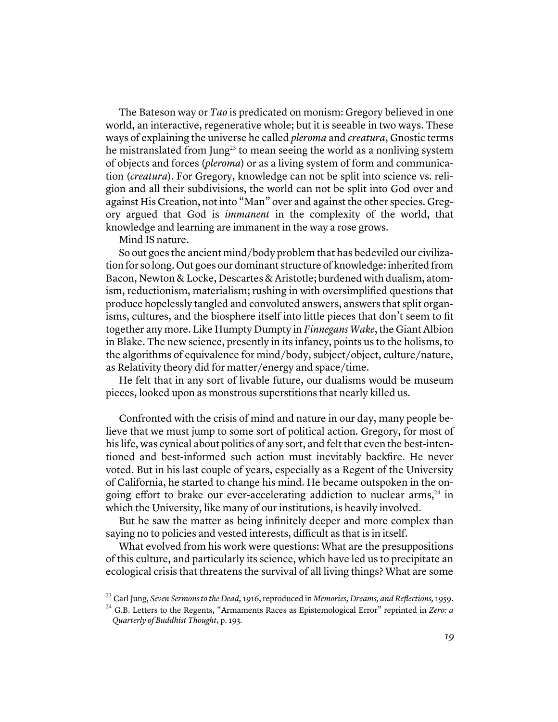The Bateson way or *Tao* is predicated on monism: Gregory believed in one world, an interactive, regenerative whole; but it is seeable in two ways. These ways of explaining the universe he called *pleroma* and *creatura*, Gnostic terms he mistranslated from Jung<sup>23</sup> to mean seeing the world as a nonliving system of objects and forces (*pleroma*) or as a living system of form and communication (*creatura*). For Gregory, knowledge can not be split into science vs. religion and all their subdivisions, the world can not be split into God over and against His Creation, not into "Man" over and against the other species. Gregory argued that God is *immanent* in the complexity of the world, that knowledge and learning are immanent in the way a rose grows.

Mind IS nature.

So out goes the ancient mind/body problem that has bedeviled our civilization for so long. Out goes our dominant structure of knowledge: inherited from Bacon, Newton & Locke, Descartes & Aristotle; burdened with dualism, atomism, reductionism, materialism; rushing in with oversimplified questions that produce hopelessly tangled and convoluted answers, answers that split organisms, cultures, and the biosphere itself into little pieces that don't seem to fit together any more. Like Humpty Dumpty in *Finnegans Wake*, the Giant Albion in Blake. The new science, presently in its infancy, points us to the holisms, to the algorithms of equivalence for mind/body, subject/object, culture/nature, as Relativity theory did for matter/energy and space/time.

He felt that in any sort of livable future, our dualisms would be museum pieces, looked upon as monstrous superstitions that nearly killed us.

Confronted with the crisis of mind and nature in our day, many people believe that we must jump to some sort of political action. Gregory, for most of his life, was cynical about politics of any sort, and felt that even the best-intentioned and best-informed such action must inevitably backfire. He never voted. But in his last couple of years, especially as a Regent of the University of California, he started to change his mind. He became outspoken in the ongoing effort to brake our ever-accelerating addiction to nuclear  $arms<sub>1</sub><sup>24</sup>$  in which the University, like many of our institutions, is heavily involved.

But he saw the matter as being infinitely deeper and more complex than saying no to policies and vested interests, difficult as that is in itself.

What evolved from his work were questions: What are the presuppositions of this culture, and particularly its science, which have led us to precipitate an ecological crisis that threatens the survival of all living things? What are some

<sup>23</sup> Carl Jung, *Seven Sermons to the Dead,* 1916, reproduced in *Memories, Dreams, and Reflections,* 1959.

<sup>24</sup> G.B. Letters to the Regents, "Armaments Races as Epistemological Error" reprinted in *Zero: a Quarterly of Buddhist Thought*, p. 193.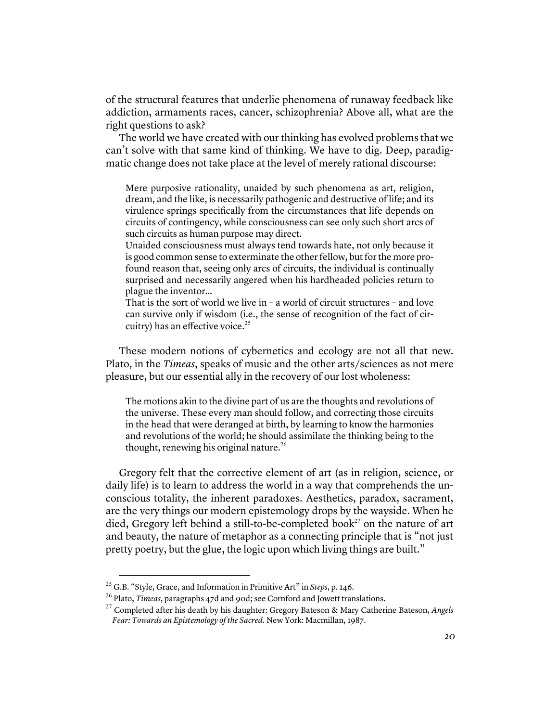of the structural features that underlie phenomena of runaway feedback like addiction, armaments races, cancer, schizophrenia? Above all, what are the right questions to ask?

The world we have created with our thinking has evolved problems that we can't solve with that same kind of thinking. We have to dig. Deep, paradigmatic change does not take place at the level of merely rational discourse:

Mere purposive rationality, unaided by such phenomena as art, religion, dream, and the like, is necessarily pathogenic and destructive of life; and its virulence springs specifically from the circumstances that life depends on circuits of contingency, while consciousness can see only such short arcs of such circuits as human purpose may direct.

Unaided consciousness must always tend towards hate, not only because it is good common sense to exterminate the other fellow, but for the more profound reason that, seeing only arcs of circuits, the individual is continually surprised and necessarily angered when his hardheaded policies return to plague the inventor…

That is the sort of world we live in – a world of circuit structures – and love can survive only if wisdom (i.e., the sense of recognition of the fact of circuitry) has an effective voice. $25$ 

These modern notions of cybernetics and ecology are not all that new. Plato, in the *Timeas*, speaks of music and the other arts/sciences as not mere pleasure, but our essential ally in the recovery of our lost wholeness:

The motions akin to the divine part of us are the thoughts and revolutions of the universe. These every man should follow, and correcting those circuits in the head that were deranged at birth, by learning to know the harmonies and revolutions of the world; he should assimilate the thinking being to the thought, renewing his original nature.<sup>26</sup>

Gregory felt that the corrective element of art (as in religion, science, or daily life) is to learn to address the world in a way that comprehends the unconscious totality, the inherent paradoxes. Aesthetics, paradox, sacrament, are the very things our modern epistemology drops by the wayside. When he died, Gregory left behind a still-to-be-completed book<sup>27</sup> on the nature of art and beauty, the nature of metaphor as a connecting principle that is "not just pretty poetry, but the glue, the logic upon which living things are built."

<sup>25</sup> G.B. "Style, Grace, and Information in Primitive Art" in *Steps*, p. 146.

<sup>&</sup>lt;sup>26</sup> Plato, *Timeas*, paragraphs 47d and 90d; see Cornford and Jowett translations.

<sup>27</sup> Completed after his death by his daughter: Gregory Bateson & Mary Catherine Bateson, *Angels Fear: Towards an Epistemology of the Sacred.* New York: Macmillan, 1987.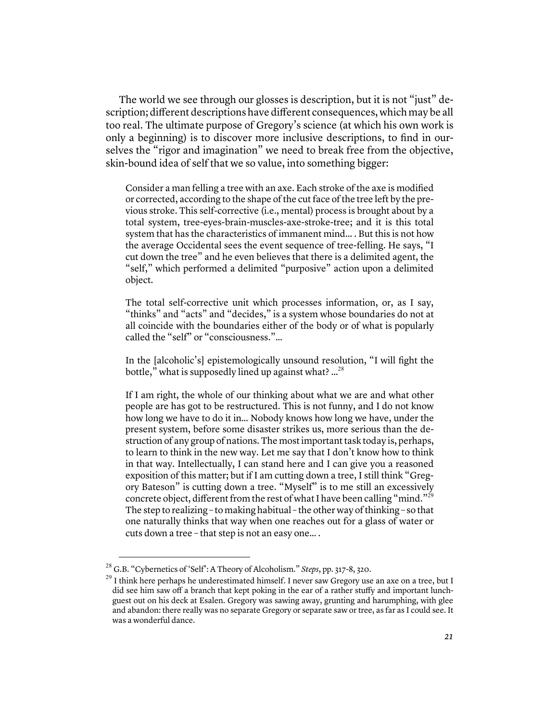The world we see through our glosses is description, but it is not "just" description; different descriptions have different consequences, which may be all too real. The ultimate purpose of Gregory's science (at which his own work is only a beginning) is to discover more inclusive descriptions, to find in ourselves the "rigor and imagination" we need to break free from the objective, skin-bound idea of self that we so value, into something bigger:

Consider a man felling a tree with an axe. Each stroke of the axe is modified or corrected, according to the shape of the cut face of the tree left by the previous stroke. This self-corrective (i.e., mental) process is brought about by a total system, tree-eyes-brain-muscles-axe-stroke-tree; and it is this total system that has the characteristics of immanent mind… . But this is not how the average Occidental sees the event sequence of tree-felling. He says, "I cut down the tree" and he even believes that there is a delimited agent, the "self," which performed a delimited "purposive" action upon a delimited object.

The total self-corrective unit which processes information, or, as I say, "thinks" and "acts" and "decides," is a system whose boundaries do not at all coincide with the boundaries either of the body or of what is popularly called the "self" or "consciousness."…

In the [alcoholic's] epistemologically unsound resolution, "I will fight the bottle," what is supposedly lined up against what? ...<sup>28</sup>

If I am right, the whole of our thinking about what we are and what other people are has got to be restructured. This is not funny, and I do not know how long we have to do it in… Nobody knows how long we have, under the present system, before some disaster strikes us, more serious than the destruction of any group of nations. The most important task today is, perhaps, to learn to think in the new way. Let me say that I don't know how to think in that way. Intellectually, I can stand here and I can give you a reasoned exposition of this matter; but if I am cutting down a tree, I still think "Gregory Bateson" is cutting down a tree. "Myself" is to me still an excessively concrete object, different from the rest of what I have been calling "mind."<sup>29</sup> The step to realizing – to making habitual – the other way of thinking – so that one naturally thinks that way when one reaches out for a glass of water or cuts down a tree – that step is not an easy one… .

<sup>28</sup> G.B. "Cybernetics of 'Self': A Theory of Alcoholism." *Steps*, pp. 317-8, 320.

<sup>&</sup>lt;sup>29</sup> I think here perhaps he underestimated himself. I never saw Gregory use an axe on a tree, but I did see him saw off a branch that kept poking in the ear of a rather stuffy and important lunchguest out on his deck at Esalen. Gregory was sawing away, grunting and harumphing, with glee and abandon: there really was no separate Gregory or separate saw or tree, as far as I could see. It was a wonderful dance.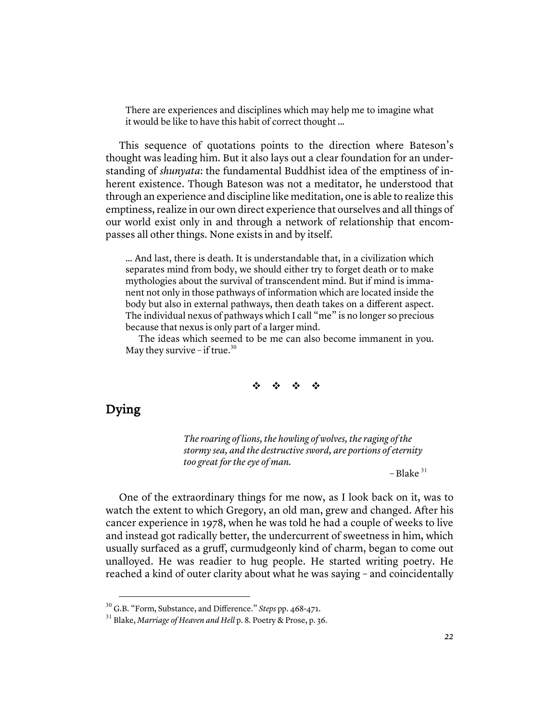There are experiences and disciplines which may help me to imagine what it would be like to have this habit of correct thought …

This sequence of quotations points to the direction where Bateson's thought was leading him. But it also lays out a clear foundation for an understanding of *shunyata*: the fundamental Buddhist idea of the emptiness of inherent existence. Though Bateson was not a meditator, he understood that through an experience and discipline like meditation, one is able to realize this emptiness, realize in our own direct experience that ourselves and all things of our world exist only in and through a network of relationship that encompasses all other things. None exists in and by itself.

… And last, there is death. It is understandable that, in a civilization which separates mind from body, we should either try to forget death or to make mythologies about the survival of transcendent mind. But if mind is immanent not only in those pathways of information which are located inside the body but also in external pathways, then death takes on a different aspect. The individual nexus of pathways which I call "me" is no longer so precious because that nexus is only part of a larger mind.

The ideas which seemed to be me can also become immanent in you. May they survive – if true. $30$ 

v v v v

#### Dying

*The roaring of lions, the howling of wolves, the raging of the stormy sea, and the destructive sword, are portions of eternity too great for the eye of man.*

 $-$  Blake  $31$ 

One of the extraordinary things for me now, as I look back on it, was to watch the extent to which Gregory, an old man, grew and changed. After his cancer experience in 1978, when he was told he had a couple of weeks to live and instead got radically better, the undercurrent of sweetness in him, which usually surfaced as a gruff, curmudgeonly kind of charm, began to come out unalloyed. He was readier to hug people. He started writing poetry. He reached a kind of outer clarity about what he was saying – and coincidentally

<sup>30</sup> G.B. "Form, Substance, and Difference." *Steps* pp. 468-471.

<sup>31</sup> Blake, *Marriage of Heaven and Hell* p. 8. Poetry & Prose, p. 36.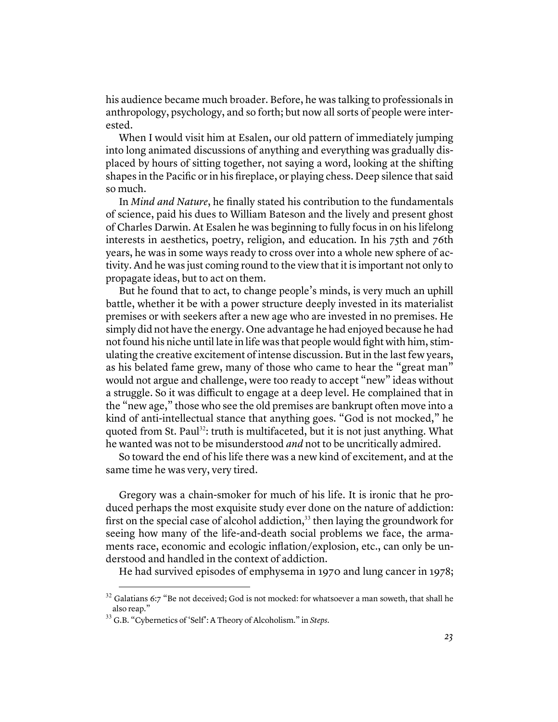his audience became much broader. Before, he was talking to professionals in anthropology, psychology, and so forth; but now all sorts of people were interested.

When I would visit him at Esalen, our old pattern of immediately jumping into long animated discussions of anything and everything was gradually displaced by hours of sitting together, not saying a word, looking at the shifting shapes in the Pacific or in his fireplace, or playing chess. Deep silence that said so much.

In *Mind and Nature*, he finally stated his contribution to the fundamentals of science, paid his dues to William Bateson and the lively and present ghost of Charles Darwin. At Esalen he was beginning to fully focus in on his lifelong interests in aesthetics, poetry, religion, and education. In his 75th and 76th years, he was in some ways ready to cross over into a whole new sphere of activity. And he was just coming round to the view that it is important not only to propagate ideas, but to act on them.

But he found that to act, to change people's minds, is very much an uphill battle, whether it be with a power structure deeply invested in its materialist premises or with seekers after a new age who are invested in no premises. He simply did not have the energy. One advantage he had enjoyed because he had not found his niche until late in life was that people would fight with him, stimulating the creative excitement of intense discussion. But in the last few years, as his belated fame grew, many of those who came to hear the "great man" would not argue and challenge, were too ready to accept "new" ideas without a struggle. So it was difficult to engage at a deep level. He complained that in the "new age," those who see the old premises are bankrupt often move into a kind of anti-intellectual stance that anything goes. "God is not mocked," he quoted from St. Paul<sup>32</sup>: truth is multifaceted, but it is not just anything. What he wanted was not to be misunderstood *and* not to be uncritically admired.

So toward the end of his life there was a new kind of excitement, and at the same time he was very, very tired.

Gregory was a chain-smoker for much of his life. It is ironic that he produced perhaps the most exquisite study ever done on the nature of addiction: first on the special case of alcohol addiction, $33$  then laying the groundwork for seeing how many of the life-and-death social problems we face, the armaments race, economic and ecologic inflation/explosion, etc., can only be understood and handled in the context of addiction.

He had survived episodes of emphysema in 1970 and lung cancer in 1978;

 $32$  Galatians 6:7 "Be not deceived; God is not mocked: for whatsoever a man soweth, that shall he also reap."

<sup>33</sup> G.B. "Cybernetics of 'Self': A Theory of Alcoholism." in *Steps*.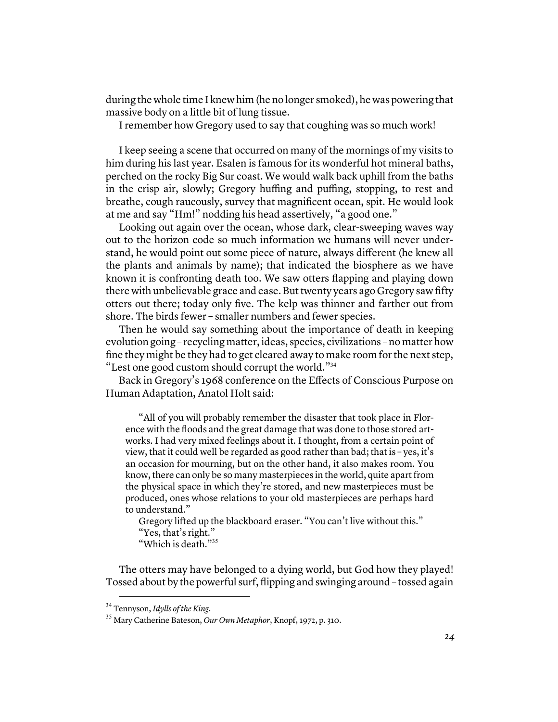during the whole time I knew him (he no longer smoked), he was powering that massive body on a little bit of lung tissue.

I remember how Gregory used to say that coughing was so much work!

I keep seeing a scene that occurred on many of the mornings of my visits to him during his last year. Esalen is famous for its wonderful hot mineral baths, perched on the rocky Big Sur coast. We would walk back uphill from the baths in the crisp air, slowly; Gregory huffing and puffing, stopping, to rest and breathe, cough raucously, survey that magnificent ocean, spit. He would look at me and say "Hm!" nodding his head assertively, "a good one."

Looking out again over the ocean, whose dark, clear-sweeping waves way out to the horizon code so much information we humans will never understand, he would point out some piece of nature, always different (he knew all the plants and animals by name); that indicated the biosphere as we have known it is confronting death too. We saw otters flapping and playing down there with unbelievable grace and ease. But twenty years ago Gregory saw fifty otters out there; today only five. The kelp was thinner and farther out from shore. The birds fewer – smaller numbers and fewer species.

Then he would say something about the importance of death in keeping evolution going – recycling matter, ideas, species, civilizations – no matter how fine they might be they had to get cleared away to make room for the next step, "Lest one good custom should corrupt the world."<sup>34</sup>

Back in Gregory's 1968 conference on the Effects of Conscious Purpose on Human Adaptation, Anatol Holt said:

"All of you will probably remember the disaster that took place in Florence with the floods and the great damage that was done to those stored artworks. I had very mixed feelings about it. I thought, from a certain point of view, that it could well be regarded as good rather than bad; that is – yes, it's an occasion for mourning, but on the other hand, it also makes room. You know, there can only be so many masterpieces in the world, quite apart from the physical space in which they're stored, and new masterpieces must be produced, ones whose relations to your old masterpieces are perhaps hard to understand."

Gregory lifted up the blackboard eraser. "You can't live without this."

"Yes, that's right."

"Which is death."<sup>35</sup>

The otters may have belonged to a dying world, but God how they played! Tossed about by the powerful surf, flipping and swinging around – tossed again

<sup>34</sup> Tennyson, *Idylls of the King*.

<sup>35</sup> Mary Catherine Bateson, *Our Own Metaphor*, Knopf, 1972, p. 310.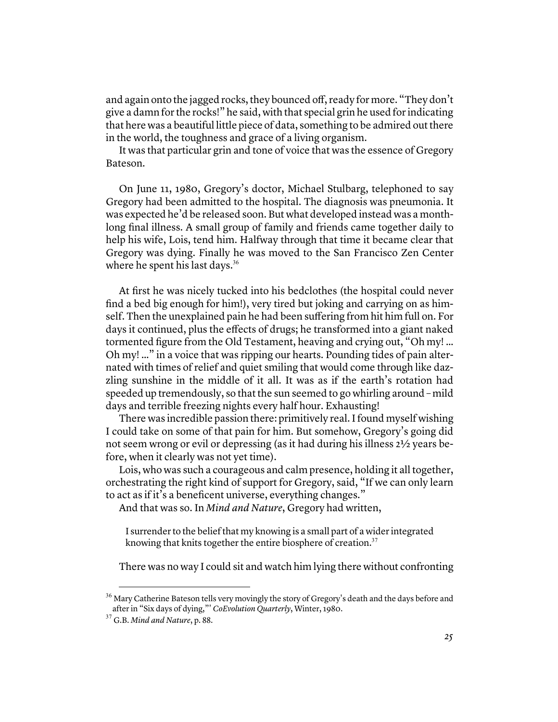and again onto the jagged rocks, they bounced off, ready for more. "They don't give a damn for the rocks!" he said, with that special grin he used for indicating that here was a beautiful little piece of data, something to be admired out there in the world, the toughness and grace of a living organism.

It was that particular grin and tone of voice that was the essence of Gregory Bateson.

On June 11, 1980, Gregory's doctor, Michael Stulbarg, telephoned to say Gregory had been admitted to the hospital. The diagnosis was pneumonia. It was expected he'd be released soon. But what developed instead was a monthlong final illness. A small group of family and friends came together daily to help his wife, Lois, tend him. Halfway through that time it became clear that Gregory was dying. Finally he was moved to the San Francisco Zen Center where he spent his last days.<sup>36</sup>

At first he was nicely tucked into his bedclothes (the hospital could never find a bed big enough for him!), very tired but joking and carrying on as himself. Then the unexplained pain he had been suffering from hit him full on. For days it continued, plus the effects of drugs; he transformed into a giant naked tormented figure from the Old Testament, heaving and crying out, "Oh my! … Oh my! …" in a voice that was ripping our hearts. Pounding tides of pain alternated with times of relief and quiet smiling that would come through like dazzling sunshine in the middle of it all. It was as if the earth's rotation had speeded up tremendously, so that the sun seemed to go whirling around – mild days and terrible freezing nights every half hour. Exhausting!

There was incredible passion there: primitively real. I found myself wishing I could take on some of that pain for him. But somehow, Gregory's going did not seem wrong or evil or depressing (as it had during his illness 2½ years before, when it clearly was not yet time).

Lois, who was such a courageous and calm presence, holding it all together, orchestrating the right kind of support for Gregory, said, "If we can only learn to act as if it's a beneficent universe, everything changes."

And that was so. In *Mind and Nature*, Gregory had written,

I surrender to the belief that my knowing is a small part of a wider integrated knowing that knits together the entire biosphere of creation.<sup>37</sup>

There was no way I could sit and watch him lying there without confronting

<sup>&</sup>lt;sup>36</sup> Mary Catherine Bateson tells very movingly the story of Gregory's death and the days before and after in "Six days of dying,"' *CoEvolution Quarterly*, Winter, 1980.

<sup>37</sup> G.B. *Mind and Nature*, p. 88.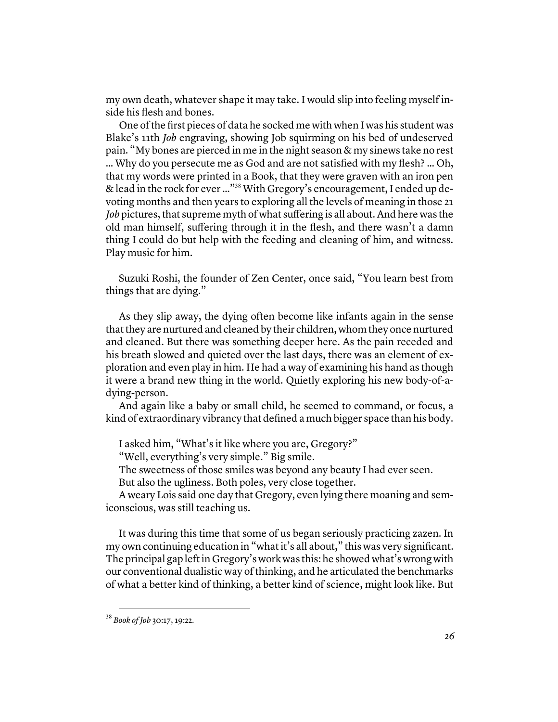my own death, whatever shape it may take. I would slip into feeling myself inside his flesh and bones.

One of the first pieces of data he socked me with when I was his student was Blake's 11th *Job* engraving, showing Job squirming on his bed of undeserved pain. "My bones are pierced in me in the night season & my sinews take no rest … Why do you persecute me as God and are not satisfied with my flesh? … Oh, that my words were printed in a Book, that they were graven with an iron pen & lead in the rock for ever …"<sup>38</sup> With Gregory's encouragement, I ended up devoting months and then years to exploring all the levels of meaning in those 21 *Job* pictures, that supreme myth of what suffering is all about. And here was the old man himself, suffering through it in the flesh, and there wasn't a damn thing I could do but help with the feeding and cleaning of him, and witness. Play music for him.

Suzuki Roshi, the founder of Zen Center, once said, "You learn best from things that are dying."

As they slip away, the dying often become like infants again in the sense that they are nurtured and cleaned by their children, whom they once nurtured and cleaned. But there was something deeper here. As the pain receded and his breath slowed and quieted over the last days, there was an element of exploration and even play in him. He had a way of examining his hand as though it were a brand new thing in the world. Quietly exploring his new body-of-adying-person.

And again like a baby or small child, he seemed to command, or focus, a kind of extraordinary vibrancy that defined a much bigger space than his body.

I asked him, "What's it like where you are, Gregory?"

"Well, everything's very simple." Big smile.

The sweetness of those smiles was beyond any beauty I had ever seen.

But also the ugliness. Both poles, very close together.

A weary Lois said one day that Gregory, even lying there moaning and semiconscious, was still teaching us.

It was during this time that some of us began seriously practicing zazen. In my own continuing education in "what it's all about," this was very significant. The principal gap left in Gregory's work was this: he showed what's wrong with our conventional dualistic way of thinking, and he articulated the benchmarks of what a better kind of thinking, a better kind of science, might look like. But

<sup>38</sup> *Book of Job* 30:17, 19:22.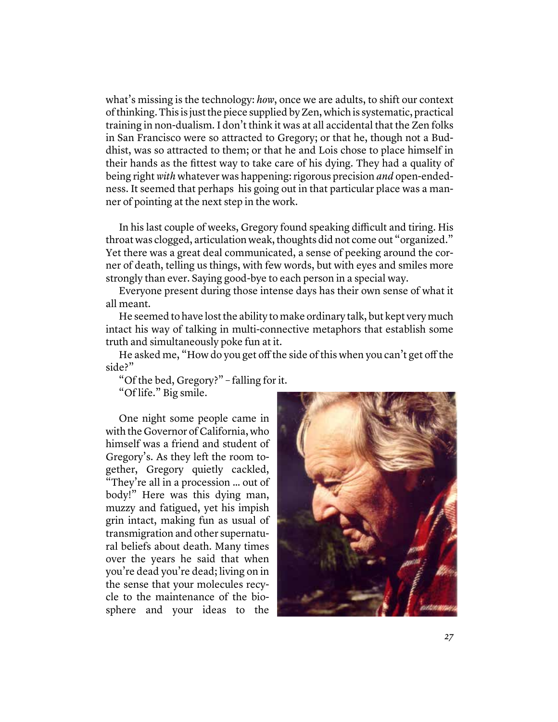what's missing is the technology: *how*, once we are adults, to shift our context of thinking. This is just the piece supplied by Zen, which is systematic, practical training in non-dualism. I don't think it was at all accidental that the Zen folks in San Francisco were so attracted to Gregory; or that he, though not a Buddhist, was so attracted to them; or that he and Lois chose to place himself in their hands as the fittest way to take care of his dying. They had a quality of being right *with* whatever was happening: rigorous precision *and* open-endedness. It seemed that perhaps his going out in that particular place was a manner of pointing at the next step in the work.

In his last couple of weeks, Gregory found speaking difficult and tiring. His throat was clogged, articulation weak, thoughts did not come out "organized." Yet there was a great deal communicated, a sense of peeking around the corner of death, telling us things, with few words, but with eyes and smiles more strongly than ever. Saying good-bye to each person in a special way.

Everyone present during those intense days has their own sense of what it all meant.

He seemed to have lost the ability to make ordinary talk, but kept very much intact his way of talking in multi-connective metaphors that establish some truth and simultaneously poke fun at it.

He asked me, "How do you get off the side of this when you can't get off the side?"

"Of the bed, Gregory?" – falling for it.

"Of life." Big smile.

One night some people came in with the Governor of California, who himself was a friend and student of Gregory's. As they left the room together, Gregory quietly cackled, "They're all in a procession … out of body!" Here was this dying man, muzzy and fatigued, yet his impish grin intact, making fun as usual of transmigration and other supernatural beliefs about death. Many times over the years he said that when you're dead you're dead; living on in the sense that your molecules recycle to the maintenance of the biosphere and your ideas to the

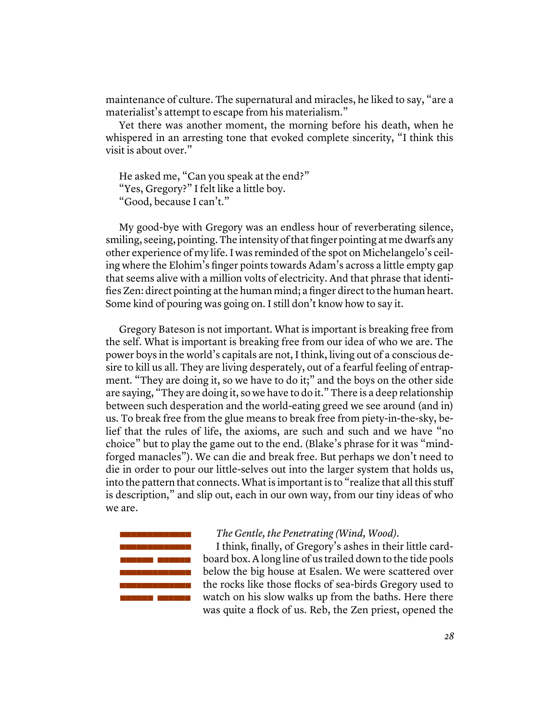maintenance of culture. The supernatural and miracles, he liked to say, "are a materialist's attempt to escape from his materialism."

Yet there was another moment, the morning before his death, when he whispered in an arresting tone that evoked complete sincerity, "I think this visit is about over."

He asked me, "Can you speak at the end?" "Yes, Gregory?" I felt like a little boy. "Good, because I can't."

My good-bye with Gregory was an endless hour of reverberating silence, smiling, seeing, pointing. The intensity of that finger pointing at me dwarfs any other experience of my life. I was reminded of the spot on Michelangelo's ceiling where the Elohim's finger points towards Adam's across a little empty gap that seems alive with a million volts of electricity. And that phrase that identifies Zen: direct pointing at the human mind; a finger direct to the human heart. Some kind of pouring was going on. I still don't know how to say it.

Gregory Bateson is not important. What is important is breaking free from the self. What is important is breaking free from our idea of who we are. The power boys in the world's capitals are not, I think, living out of a conscious desire to kill us all. They are living desperately, out of a fearful feeling of entrapment. "They are doing it, so we have to do it;" and the boys on the other side are saying, "They are doing it, so we have to do it." There is a deep relationship between such desperation and the world-eating greed we see around (and in) us. To break free from the glue means to break free from piety-in-the-sky, belief that the rules of life, the axioms, are such and such and we have "no choice" but to play the game out to the end. (Blake's phrase for it was "mindforged manacles"). We can die and break free. But perhaps we don't need to die in order to pour our little-selves out into the larger system that holds us, into the pattern that connects. What is important is to "realize that all this stuff is description," and slip out, each in our own way, from our tiny ideas of who we are.



#### *The Gentle, the Penetrating (Wind, Wood).*

I think, finally, of Gregory's ashes in their little cardboard box. A long line of us trailed down to the tide pools below the big house at Esalen. We were scattered over the rocks like those flocks of sea-birds Gregory used to watch on his slow walks up from the baths. Here there was quite a flock of us. Reb, the Zen priest, opened the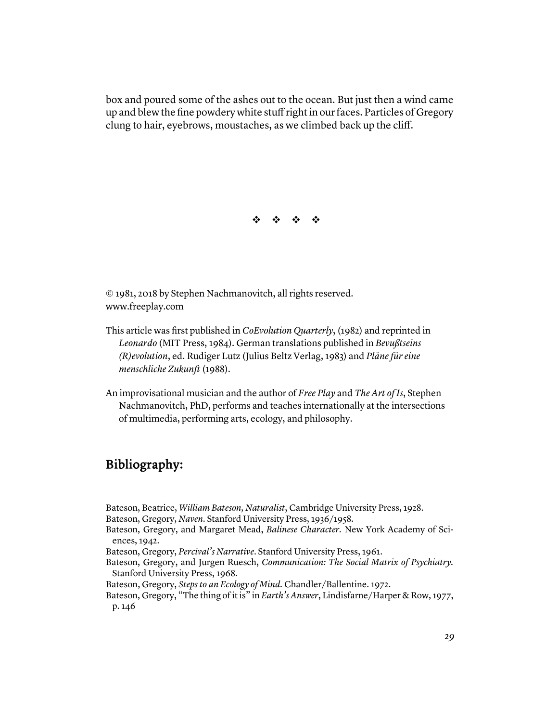box and poured some of the ashes out to the ocean. But just then a wind came up and blew the fine powdery white stuff right in our faces. Particles of Gregory clung to hair, eyebrows, moustaches, as we climbed back up the cliff.

v v v v

© 1981, 2018 by Stephen Nachmanovitch, all rights reserved. www.freeplay.com

This article was first published in *CoEvolution Quarterly*, (1982) and reprinted in *Leonardo* (MIT Press, 1984). German translations published in *Bevußtseins (R)evolution*, ed. Rudiger Lutz (Julius Beltz Verlag, 1983) and *Pläne für eine menschliche Zukunft* (1988).

An improvisational musician and the author of *Free Play* and *The Art of Is*, Stephen Nachmanovitch, PhD, performs and teaches internationally at the intersections of multimedia, performing arts, ecology, and philosophy.

# Bibliography:

- Bateson, Beatrice, *William Bateson, Naturalist*, Cambridge University Press, 1928.
- Bateson, Gregory, *Naven*. Stanford University Press, 1936/1958.
- Bateson, Gregory, and Margaret Mead, *Balinese Character.* New York Academy of Sciences, 1942.
- Bateson, Gregory, *Percival's Narrative*. Stanford University Press, 1961.
- Bateson, Gregory, and Jurgen Ruesch, *Communication: The Social Matrix of Psychiatry.*  Stanford University Press, 1968.
- Bateson, Gregory, *Steps to an Ecology of Mind.* Chandler/Ballentine. 1972.
- Bateson, Gregory, "The thing of it is" in *Earth's Answer*, Lindisfarne/Harper & Row, 1977, p. 146